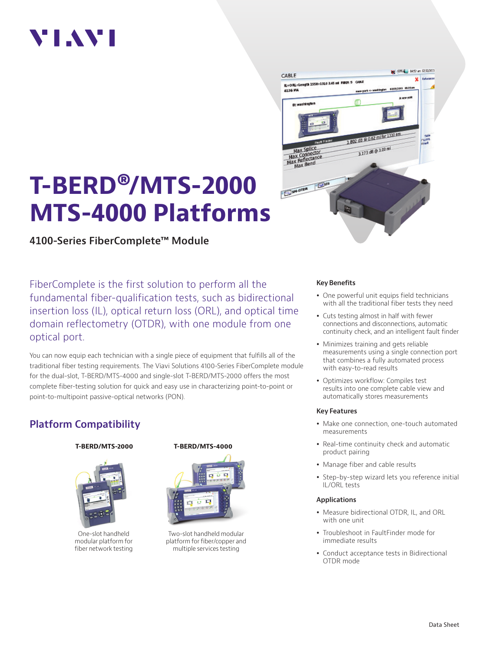# VI.WI

# **T-BERD®/MTS-2000 MTS-4000 Platforms**

**4100-Series FiberComplete™ Module**

FiberComplete is the first solution to perform all the fundamental fiber-qualification tests, such as bidirectional insertion loss (IL), optical return loss (ORL), and optical time domain reflectometry (OTDR), with one module from one optical port.

You can now equip each technician with a single piece of equipment that fulfills all of the traditional fiber testing requirements. The Viavi Solutions 4100-Series FiberComplete module for the dual-slot, T-BERD/MTS-4000 and single-slot T-BERD/MTS-2000 offers the most complete fiber-testing solution for quick and easy use in characterizing point-to-point or point-to-multipoint passive-optical networks (PON).

# **Platform Compatibility**



One-slot handheld modular platform for fiber network testing

### **T-BERD/MTS-2000 T-BERD/MTS-4000**



Two-slot handheld modular platform for fiber/copper and multiple services testing



#### **Key Benefits**

- One powerful unit equips field technicians with all the traditional fiber tests they need
- Cuts testing almost in half with fewer connections and disconnections, automatic continuity check, and an intelligent fault finder
- Minimizes training and gets reliable measurements using a single connection port that combines a fully automated process with easy-to-read results
- Optimizes workflow: Compiles test results into one complete cable view and automatically stores measurements

#### **Key Features**

- Make one connection, one-touch automated measurements
- Real-time continuity check and automatic product pairing
- Manage fiber and cable results
- Step-by-step wizard lets you reference initial IL/ORL tests

#### **Applications**

- Measure bidirectional OTDR, IL, and ORL with one unit
- Troubleshoot in FaultFinder mode for immediate results
- Conduct acceptance tests in Bidirectional OTDR mode